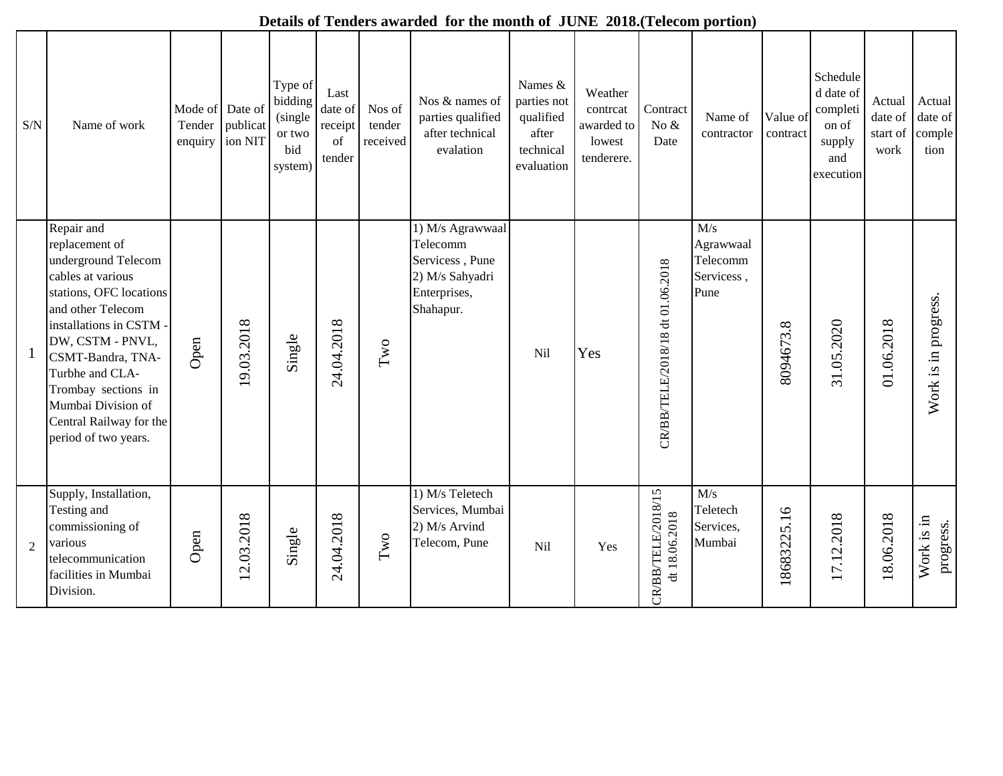| $\ensuremath{\mathrm{S/N}}$ | Name of work                                                                                                                                                                                                                                                                                                    | Mode of Date of<br>Tender<br>enquiry | publicat<br>ion NIT | Type of<br>bidding<br>(single<br>or two<br>bid<br>system) | Last<br>date of<br>receipt<br>of<br>tender | Nos of<br>tender<br>received | Nos & names of<br>parties qualified<br>after technical<br>evalation                             | Names &<br>parties not<br>qualified<br>after<br>technical<br>evaluation | Weather<br>contrcat<br>awarded to<br>lowest<br>tenderere. | Contract<br>No $\&$<br>Date         | Name of<br>contractor                              | Value of<br>contract | Schedule<br>d date of<br>completi<br>on of<br>supply<br>and<br>execution | Actual<br>date of<br>start of<br>work | Actual<br>date of<br>comple<br>tion |
|-----------------------------|-----------------------------------------------------------------------------------------------------------------------------------------------------------------------------------------------------------------------------------------------------------------------------------------------------------------|--------------------------------------|---------------------|-----------------------------------------------------------|--------------------------------------------|------------------------------|-------------------------------------------------------------------------------------------------|-------------------------------------------------------------------------|-----------------------------------------------------------|-------------------------------------|----------------------------------------------------|----------------------|--------------------------------------------------------------------------|---------------------------------------|-------------------------------------|
|                             | Repair and<br>replacement of<br>underground Telecom<br>cables at various<br>stations, OFC locations<br>and other Telecom<br>installations in CSTM -<br>DW, CSTM - PNVL,<br>CSMT-Bandra, TNA-<br>Turbhe and CLA-<br>Trombay sections in<br>Mumbai Division of<br>Central Railway for the<br>period of two years. | Open                                 | 9.03.2018           | Single                                                    | 24.04.2018                                 | $\mathbf{Iw}$                | 1) M/s Agrawwaal<br>Telecomm<br>Servicess, Pune<br>2) M/s Sahyadri<br>Enterprises,<br>Shahapur. | <b>Nil</b>                                                              | Yes                                                       | CR/BB/TELE/2018/18 dt 01.06.2018    | M/s<br>Agrawwaal<br>Telecomm<br>Servicess,<br>Pune | 8094673.8            | 31.05.2020                                                               | 01.06.2018                            | Work is in progress.                |
| $\overline{2}$              | Supply, Installation,<br>Testing and<br>commissioning of<br>various<br>telecommunication<br>facilities in Mumbai<br>Division.                                                                                                                                                                                   | Open                                 | 2.03.2018           | Single                                                    | 24.04.2018                                 | $\operatorname{Two}$         | 1) M/s Teletech<br>Services, Mumbai<br>2) M/s Arvind<br>Telecom, Pune                           | Nil                                                                     | Yes                                                       | CR/BB/TELE/2018/15<br>dt 18.06.2018 | M/s<br>Teletech<br>Services,<br>Mumbai             | 18683225.16          | 17.12.2018                                                               | 18.06.2018                            | Work is in<br>progress.             |

## **Details of Tenders awarded for the month of JUNE 2018.(Telecom portion)**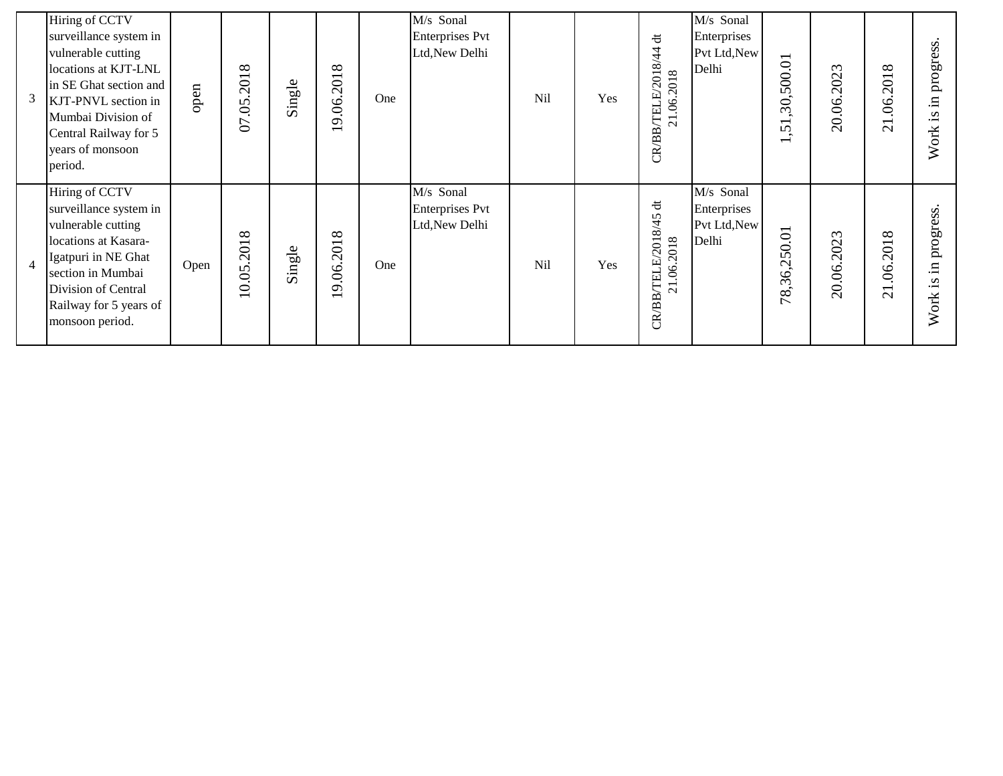| 3              | Hiring of CCTV<br>surveillance system in<br>vulnerable cutting<br>locations at KJT-LNL<br>in SE Ghat section and<br>KJT-PNVL section in<br>Mumbai Division of<br>Central Railway for 5<br>years of monsoon<br>period. | open | 07.05.2018 | Single | $\infty$<br>19.06.201                            | One | M/s Sonal<br>Enterprises Pvt<br>Ltd, New Delhi        | Nil | Yes | も<br>8/44<br>21.06.2018<br>$\overline{\phantom{0}}$<br>$\Omega$<br>TELE<br>CR/BB                                 | M/s Sonal<br>Enterprises<br>Pvt Ltd, New<br>Delhi | 500.01<br>50<br>$\overline{\phantom{0}}$<br>$\overline{v}$<br>$\overline{\phantom{0}}$ | 20.06.2023 | 2018<br>$\mathcal{S}$<br>$\overline{\phantom{0}}$<br>$\overline{\mathbf{C}}$ | progress<br>Η.<br>Š.<br>Work |
|----------------|-----------------------------------------------------------------------------------------------------------------------------------------------------------------------------------------------------------------------|------|------------|--------|--------------------------------------------------|-----|-------------------------------------------------------|-----|-----|------------------------------------------------------------------------------------------------------------------|---------------------------------------------------|----------------------------------------------------------------------------------------|------------|------------------------------------------------------------------------------|------------------------------|
| $\overline{4}$ | Hiring of CCTV<br>surveillance system in<br>vulnerable cutting<br>locations at Kasara-<br>Igatpuri in NE Ghat<br>section in Mumbai<br>Division of Central<br>Railway for 5 years of<br>monsoon period.                | Open | 10.05.2018 | Single | $\infty$<br>9.06.201<br>$\overline{\phantom{0}}$ | One | M/s Sonal<br><b>Enterprises Pvt</b><br>Ltd, New Delhi | Nil | Yes | $\ddot{\sigma}$<br>45<br>$\approx$<br>21.06.2018<br>$\overline{\phantom{0}}$<br>$\overline{20}$<br>TELE<br>CR/BB | M/s Sonal<br>Enterprises<br>Pvt Ltd, New<br>Delhi | 50.01<br>$\mathbf{C}$<br>36,<br>78;                                                    | 20.06.2023 | 2018<br>$\mathcal{S}$<br>$\overline{\phantom{0}}$<br>$\sim$                  | progress<br>Η.<br>Š.<br>Work |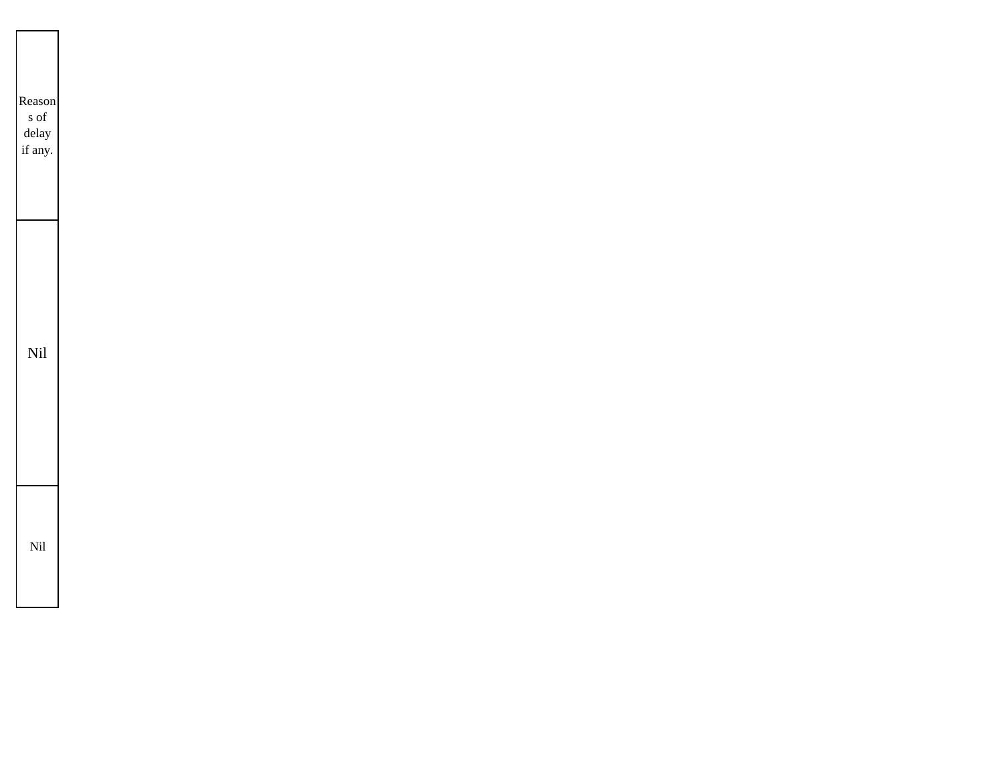| Reason<br>s of<br>delay<br>if any. |  |
|------------------------------------|--|
| Nil                                |  |
| Nil                                |  |